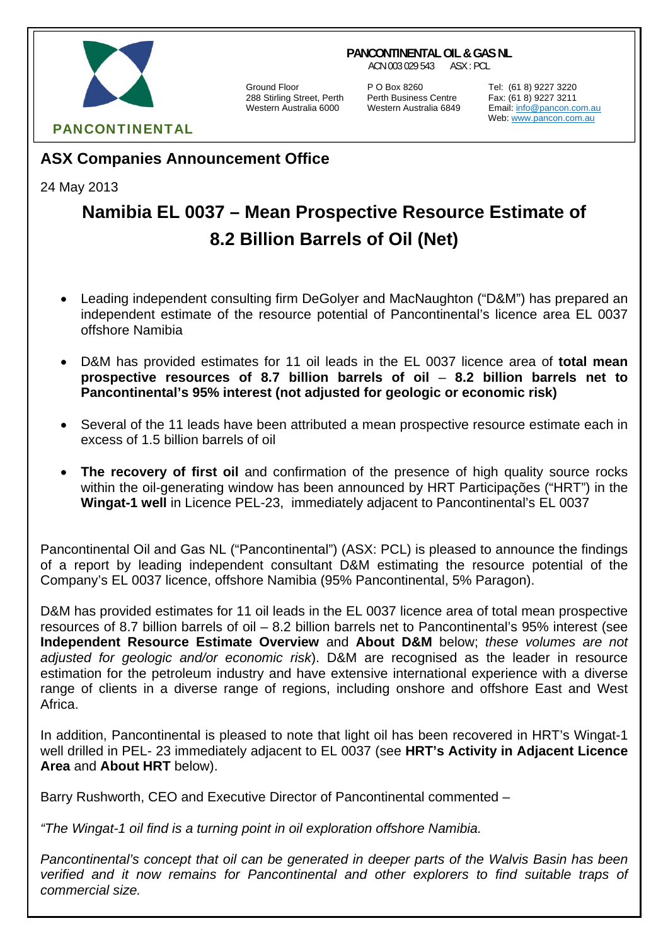#### **PANCONTINENTAL OIL & GAS NL**

ACN 003 029 543 ASX : PCL



288 Stirling Street, Perth Perth Business Centre Fax: (61 8) 9227 3211

Ground Floor **P O Box 8260** Tel: (61 8) 9227 3220<br>288 Stirling Street, Perth Perth Business Centre Fax: (61 8) 9227 3211

Email: info@pancon.com.au Web: www.pancon.com.au

# **ASX Companies Announcement Office**

24 May 2013

# **Namibia EL 0037 – Mean Prospective Resource Estimate of 8.2 Billion Barrels of Oil (Net)**

- Leading independent consulting firm DeGolyer and MacNaughton ("D&M") has prepared an independent estimate of the resource potential of Pancontinental's licence area EL 0037 offshore Namibia
- D&M has provided estimates for 11 oil leads in the EL 0037 licence area of **total mean prospective resources of 8.7 billion barrels of oil** – **8.2 billion barrels net to Pancontinental's 95% interest (not adjusted for geologic or economic risk)**
- Several of the 11 leads have been attributed a mean prospective resource estimate each in excess of 1.5 billion barrels of oil
- **The recovery of first oil** and confirmation of the presence of high quality source rocks within the oil-generating window has been announced by HRT Participações ("HRT") in the **Wingat-1 well** in Licence PEL-23, immediately adjacent to Pancontinental's EL 0037

Pancontinental Oil and Gas NL ("Pancontinental") (ASX: PCL) is pleased to announce the findings of a report by leading independent consultant D&M estimating the resource potential of the Company's EL 0037 licence, offshore Namibia (95% Pancontinental, 5% Paragon).

D&M has provided estimates for 11 oil leads in the EL 0037 licence area of total mean prospective resources of 8.7 billion barrels of oil – 8.2 billion barrels net to Pancontinental's 95% interest (see **Independent Resource Estimate Overview** and **About D&M** below; *these volumes are not adjusted for geologic and/or economic risk*). D&M are recognised as the leader in resource estimation for the petroleum industry and have extensive international experience with a diverse range of clients in a diverse range of regions, including onshore and offshore East and West Africa.

In addition, Pancontinental is pleased to note that light oil has been recovered in HRT's Wingat-1 well drilled in PEL- 23 immediately adjacent to EL 0037 (see **HRT's Activity in Adjacent Licence Area** and **About HRT** below).

Barry Rushworth, CEO and Executive Director of Pancontinental commented –

*"The Wingat-1 oil find is a turning point in oil exploration offshore Namibia.* 

*Pancontinental's concept that oil can be generated in deeper parts of the Walvis Basin has been verified and it now remains for Pancontinental and other explorers to find suitable traps of commercial size.*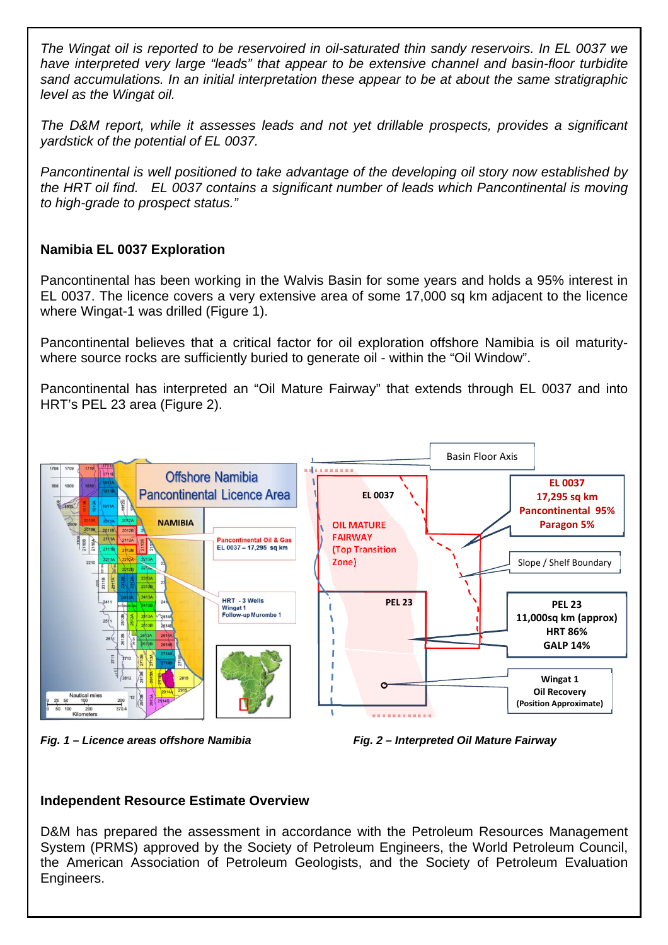*The Wingat oil is reported to be reservoired in oil-saturated thin sandy reservoirs. In EL 0037 we have interpreted very large "leads" that appear to be extensive channel and basin-floor turbidite sand accumulations. In an initial interpretation these appear to be at about the same stratigraphic level as the Wingat oil.* 

*The D&M report, while it assesses leads and not yet drillable prospects, provides a significant yardstick of the potential of EL 0037.* 

*Pancontinental is well positioned to take advantage of the developing oil story now established by the HRT oil find. EL 0037 contains a significant number of leads which Pancontinental is moving to high-grade to prospect status."* 

## **Namibia EL 0037 Exploration**

Pancontinental has been working in the Walvis Basin for some years and holds a 95% interest in EL 0037. The licence covers a very extensive area of some 17,000 sq km adjacent to the licence where Wingat-1 was drilled (Figure 1).

Pancontinental believes that a critical factor for oil exploration offshore Namibia is oil maturitywhere source rocks are sufficiently buried to generate oil - within the "Oil Window".

Pancontinental has interpreted an "Oil Mature Fairway" that extends through EL 0037 and into HRT's PEL 23 area (Figure 2).



*Fig. 1 – Licence areas offshore Namibia Fig. 2 – Interpreted Oil Mature Fairway*



## **Independent Resource Estimate Overview**

D&M has prepared the assessment in accordance with the Petroleum Resources Management System (PRMS) approved by the Society of Petroleum Engineers, the World Petroleum Council, the American Association of Petroleum Geologists, and the Society of Petroleum Evaluation Engineers.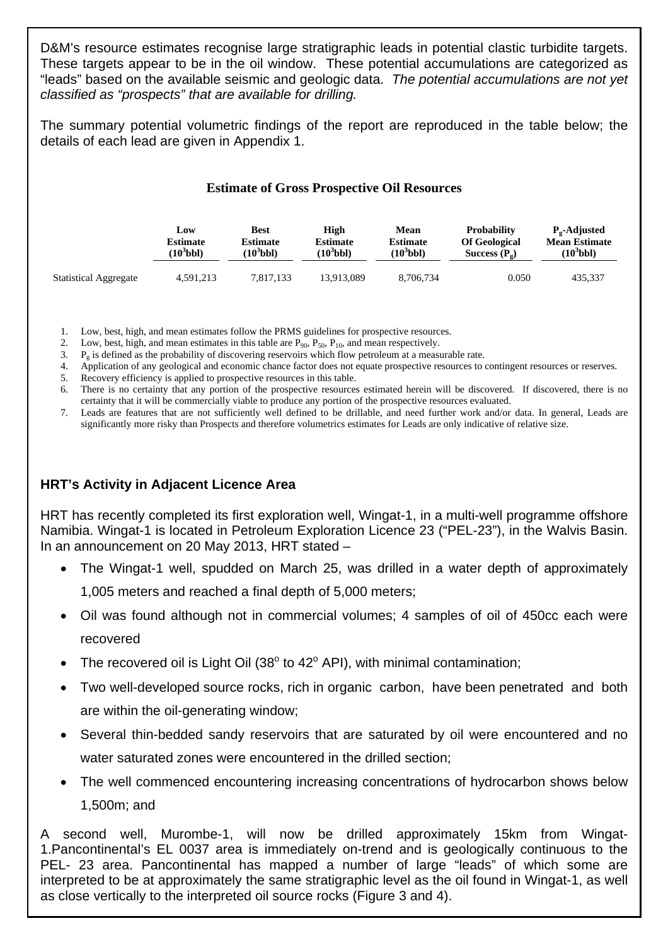D&M's resource estimates recognise large stratigraphic leads in potential clastic turbidite targets. These targets appear to be in the oil window. These potential accumulations are categorized as "leads" based on the available seismic and geologic data. *The potential accumulations are not yet classified as "prospects" that are available for drilling.* 

The summary potential volumetric findings of the report are reproduced in the table below; the details of each lead are given in Appendix 1.

|  |  |  | <b>Estimate of Gross Prospective Oil Resources</b> |
|--|--|--|----------------------------------------------------|
|--|--|--|----------------------------------------------------|

|                              | Low             | <b>Best</b>     | High                  | Mean            | <b>Probability</b>     | P <sub>o</sub> -Adjusted |
|------------------------------|-----------------|-----------------|-----------------------|-----------------|------------------------|--------------------------|
|                              | <b>Estimate</b> | <b>Estimate</b> | <b>Estimate</b>       | <b>Estimate</b> | <b>Of Geological</b>   | <b>Mean Estimate</b>     |
|                              | $(10^3$ bbl)    | $(10^3$ bbl)    | (10 <sup>5</sup> bbl) | $(10^3$ bbl)    | Success $(P_{\alpha})$ | $(10^3$ bbl)             |
| <b>Statistical Aggregate</b> | 4,591,213       | 7.817.133       | 13.913.089            | 8,706,734       | 0.050                  | 435.337                  |

1. Low, best, high, and mean estimates follow the PRMS guidelines for prospective resources.

2. Low, best, high, and mean estimates in this table are  $P_{90}$ ,  $P_{50}$ ,  $P_{10}$ , and mean respectively.

3.  $P_g$  is defined as the probability of discovering reservoirs which flow petroleum at a measurable rate.

4. Application of any geological and economic chance factor does not equate prospective resources to contingent resources or reserves.

5. Recovery efficiency is applied to prospective resources in this table.

6. There is no certainty that any portion of the prospective resources estimated herein will be discovered. If discovered, there is no certainty that it will be commercially viable to produce any portion of the prospective resources evaluated.

7. Leads are features that are not sufficiently well defined to be drillable, and need further work and/or data. In general, Leads are significantly more risky than Prospects and therefore volumetrics estimates for Leads are only indicative of relative size.

## **HRT's Activity in Adjacent Licence Area**

HRT has recently completed its first exploration well, Wingat-1, in a multi-well programme offshore Namibia. Wingat-1 is located in Petroleum Exploration Licence 23 ("PEL-23"), in the Walvis Basin. In an announcement on 20 May 2013, HRT stated –

- The Wingat-1 well, spudded on March 25, was drilled in a water depth of approximately 1,005 meters and reached a final depth of 5,000 meters;
- Oil was found although not in commercial volumes; 4 samples of oil of 450cc each were recovered
- The recovered oil is Light Oil (38 $^{\circ}$  to 42 $^{\circ}$  API), with minimal contamination;
- Two well-developed source rocks, rich in organic carbon, have been penetrated and both are within the oil-generating window;
- Several thin-bedded sandy reservoirs that are saturated by oil were encountered and no water saturated zones were encountered in the drilled section;
- The well commenced encountering increasing concentrations of hydrocarbon shows below 1,500m; and

A second well, Murombe-1, will now be drilled approximately 15km from Wingat-1.Pancontinental's EL 0037 area is immediately on-trend and is geologically continuous to the PEL- 23 area. Pancontinental has mapped a number of large "leads" of which some are interpreted to be at approximately the same stratigraphic level as the oil found in Wingat-1, as well as close vertically to the interpreted oil source rocks (Figure 3 and 4).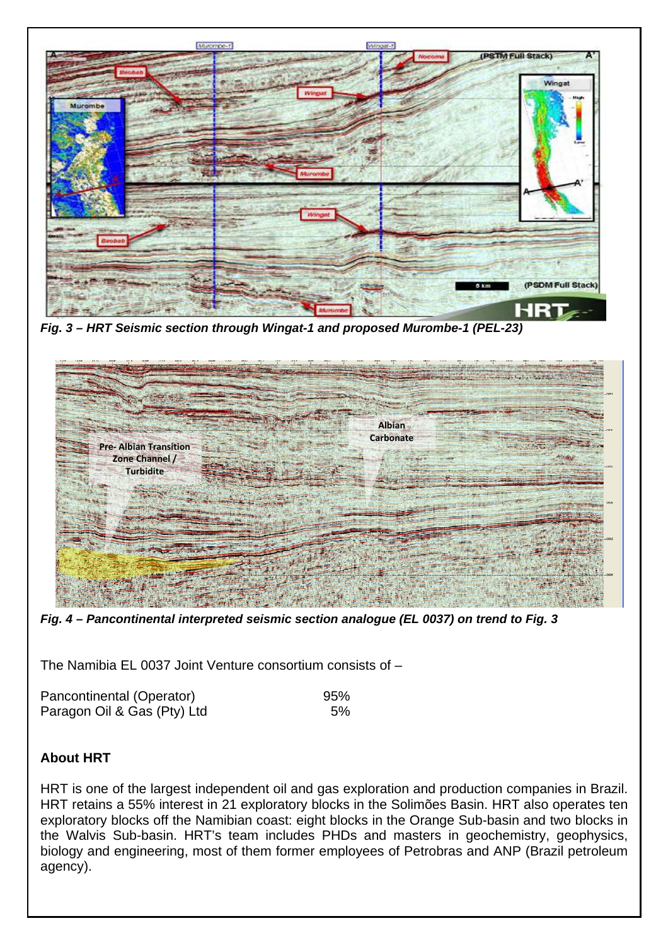

*Fig. 3 – HRT Seismic section through Wingat-1 and proposed Murombe-1 (PEL-23)* 



*Fig. 4 – Pancontinental interpreted seismic section analogue (EL 0037) on trend to Fig. 3* 

The Namibia EL 0037 Joint Venture consortium consists of –

| Pancontinental (Operator)   | 95% |
|-----------------------------|-----|
| Paragon Oil & Gas (Pty) Ltd | 5%  |

## **About HRT**

HRT is one of the largest independent oil and gas exploration and production companies in Brazil. HRT retains a 55% interest in 21 exploratory blocks in the Solimões Basin. HRT also operates ten exploratory blocks off the Namibian coast: eight blocks in the Orange Sub-basin and two blocks in the Walvis Sub-basin. HRT's team includes PHDs and masters in geochemistry, geophysics, biology and engineering, most of them former employees of Petrobras and ANP (Brazil petroleum agency).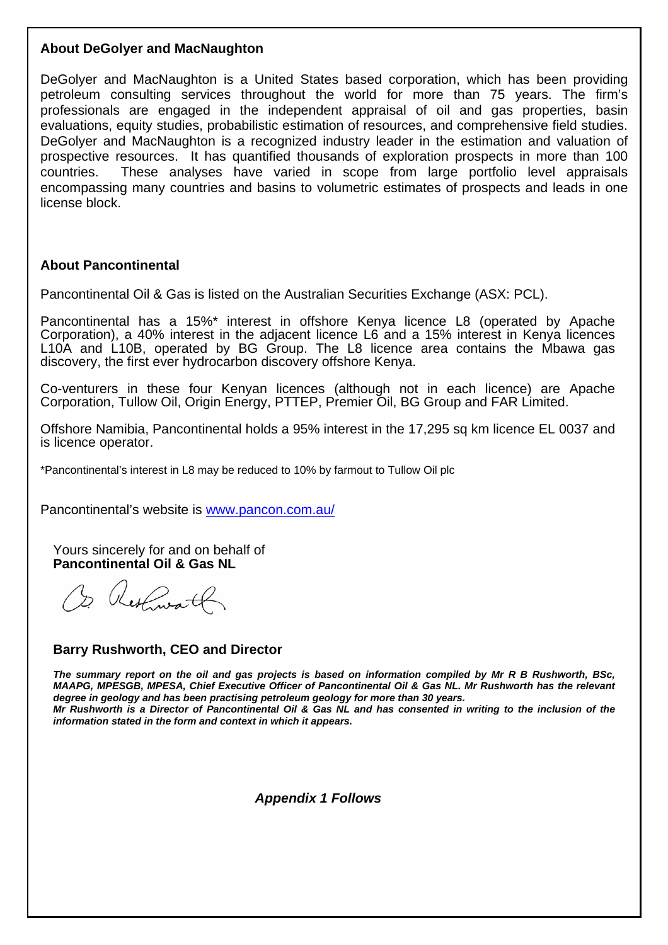### **About DeGolyer and MacNaughton**

DeGolyer and MacNaughton is a United States based corporation, which has been providing petroleum consulting services throughout the world for more than 75 years. The firm's professionals are engaged in the independent appraisal of oil and gas properties, basin evaluations, equity studies, probabilistic estimation of resources, and comprehensive field studies. DeGolyer and MacNaughton is a recognized industry leader in the estimation and valuation of prospective resources. It has quantified thousands of exploration prospects in more than 100 countries. These analyses have varied in scope from large portfolio level appraisals encompassing many countries and basins to volumetric estimates of prospects and leads in one license block.

### **About Pancontinental**

Pancontinental Oil & Gas is listed on the Australian Securities Exchange (ASX: PCL).

Pancontinental has a 15%\* interest in offshore Kenya licence L8 (operated by Apache Corporation), a 40% interest in the adjacent licence L6 and a 15% interest in Kenya licences L10A and L10B, operated by BG Group. The L8 licence area contains the Mbawa gas discovery, the first ever hydrocarbon discovery offshore Kenya.

Co-venturers in these four Kenyan licences (although not in each licence) are Apache Corporation, Tullow Oil, Origin Energy, PTTEP, Premier Oil, BG Group and FAR Limited.

Offshore Namibia, Pancontinental holds a 95% interest in the 17,295 sq km licence EL 0037 and is licence operator.

\*Pancontinental's interest in L8 may be reduced to 10% by farmout to Tullow Oil plc

Pancontinental's website is www.pancon.com.au/

Yours sincerely for and on behalf of **Pancontinental Oil & Gas NL** 

Or Restaurant

#### **Barry Rushworth, CEO and Director**

*The summary report on the oil and gas projects is based on information compiled by Mr R B Rushworth, BSc, MAAPG, MPESGB, MPESA, Chief Executive Officer of Pancontinental Oil & Gas NL. Mr Rushworth has the relevant degree in geology and has been practising petroleum geology for more than 30 years. Mr Rushworth is a Director of Pancontinental Oil & Gas NL and has consented in writing to the inclusion of the information stated in the form and context in which it appears.* 

 *Appendix 1 Follows*